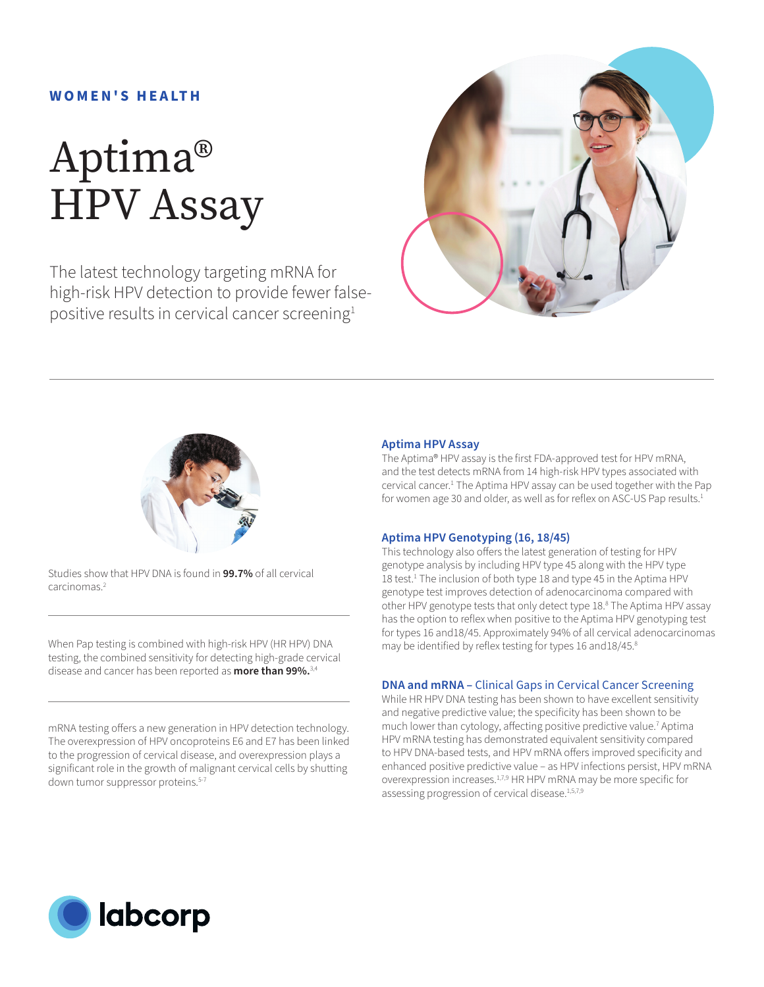### **W O M E N ' S H E A LT H**

# Aptima® HPV Assay

The latest technology targeting mRNA for high-risk HPV detection to provide fewer falsepositive results in cervical cancer screening<sup>1</sup>





Studies show that HPV DNA is found in **99.7%** of all cervical carcinomas<sup>2</sup>

When Pap testing is combined with high-risk HPV (HR HPV) DNA testing, the combined sensitivity for detecting high-grade cervical disease and cancer has been reported as **more than 99%.**3,4

mRNA testing offers a new generation in HPV detection technology. The overexpression of HPV oncoproteins E6 and E7 has been linked to the progression of cervical disease, and overexpression plays a significant role in the growth of malignant cervical cells by shutting down tumor suppressor proteins.<sup>5-7</sup>

#### **Aptima HPV Assay**

The Aptima® HPV assay is the first FDA-approved test for HPV mRNA, and the test detects mRNA from 14 high-risk HPV types associated with cervical cancer.1 The Aptima HPV assay can be used together with the Pap for women age 30 and older, as well as for reflex on ASC-US Pap results.<sup>1</sup>

#### **Aptima HPV Genotyping (16, 18/45)**

This technology also offers the latest generation of testing for HPV genotype analysis by including HPV type 45 along with the HPV type 18 test.<sup>1</sup> The inclusion of both type 18 and type 45 in the Aptima HPV genotype test improves detection of adenocarcinoma compared with other HPV genotype tests that only detect type 18.8 The Aptima HPV assay has the option to reflex when positive to the Aptima HPV genotyping test for types 16 and18/45. Approximately 94% of all cervical adenocarcinomas may be identified by reflex testing for types 16 and 18/45.8

#### **DNA and mRNA –** Clinical Gaps in Cervical Cancer Screening

While HR HPV DNA testing has been shown to have excellent sensitivity and negative predictive value; the specificity has been shown to be much lower than cytology, affecting positive predictive value.<sup>7</sup> Aptima HPV mRNA testing has demonstrated equivalent sensitivity compared to HPV DNA-based tests, and HPV mRNA offers improved specificity and enhanced positive predictive value – as HPV infections persist, HPV mRNA overexpression increases.<sup>1,7,9</sup> HR HPV mRNA may be more specific for assessing progression of cervical disease.<sup>1,5,7,9</sup>